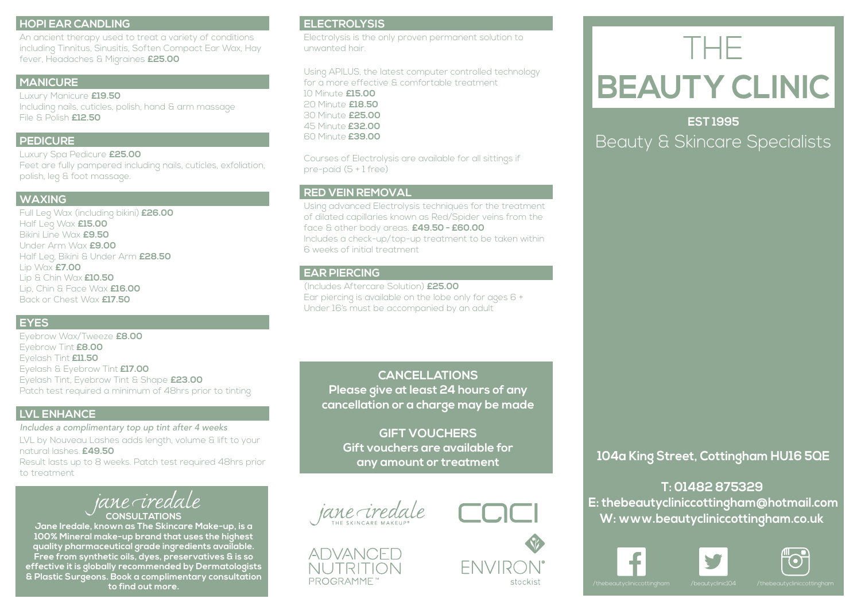# **HOPI EAR CANDLING**

An ancient therapy used to treat a variety of conditions including Tinnitus, Sinusitis, Soften Compact Ear Wax, Hay fever, Headaches & Migraines **£25.00**

### **MANICURE**

, hand & arm massage and the set of the set of the set of the set of the set of the set of the set of the set o<br>The set of the set of the set of the set of the set of the set of the set of the set of the set of the set of Luxury Manicure **£19.50** Including nails, cuticles, polish, hand & arm massage File & Polish **£12.50** 

### **PEDICURE**

Finite 200.00 Luxury Spa Pedicure **£25.00** Feet are fully pampered including nails, cuticles, exfoliation, polish, leg & foot massage.

## **WAXING**

**WAXING**<br>Full Leg Wax (including bikini) **£26.00**<br>Helf Lan Way **CIE OO** Bikini Line Wax **£9.50**<br>Under Arm Wax **£9.00** Lip Wax **£7.00** Lip & Chin Wax **£10.50**<br>Lip, Chin & Face Wax **£16.00** Back or Chest Wax **£17.50** Half Leg Wax **£15.00** Bikini Line Wax **£9.50** Half Leg, Bikini & Under Arm **£28.50** Lip & Chin Wax **£10.50**

99mm x 210mm

# **EYES**

Remember to delete or hide Eyebrow Tint **£8.00** this layer. Eyelash & Eyebrow Tint **£17.00** Patch test required a minimum of 48hrs prior to tinting<br>-Eyebrow Wax/Tweeze **£8.00** Eyelash Tint **£11.50** Eyelash Tint, Eyebrow Tint & Shape **£23.00**

# **LVL ENHANCE**

*Includes a complimentary top up tint after 4 weeks* LVL by Nouveau Lashes adds length, volume & lift to your natural lashes. **£49.50**

Result lasts up to 8 weeks. Patch test required 48hrs prior to treatment

# iane credale **CONSULTATIONS**

**Jane Iredale, known as The Skincare Make-up, is a 100% Mineral make-up brand that uses the highest quality pharmaceutical grade ingredients available. Free from synthetic oils, dyes, preservatives & is so effective it is globally recommended by Dermatologists & Plastic Surgeons. Book a complimentary consultation to find out more.**

# **ELECTROLYSIS**

Electrolysis is the only proven permanent solution to unwanted hair.

Using APILUS, the latest computer controlled technology for a more effective & comfortable treatment

10 Minute **£15.00** 20 Minute **£18.50** 30 Minute **£25.00** 45 Minute **£32.00** 60 Minute **£39.00**

Courses of Electrolysis are available for all sittings if pre-paid (5 + 1 free)

# **RED VEIN REMOVAL**

Using advanced Electrolysis techniques for the treatment of dilated capillaries known as Red/Spider veins from the face & other body areas. **£49.50 - £60.00** Includes a check-up/top-up treatment to be taken within 6 weeks of initial treatment

## **EAR PIERCING**

(Includes Aftercare Solution) **£25.00** Ear piercing is available on the lobe only for ages 6 + Under 16's must be accompanied by an adult

**CANCELLATIONS Please give at least 24 hours of any cancellation or a charge may be made**

> **GIFT VOUCHERS Gift vouchers are available for any amount or treatment**





**FNVIRO** 

stockist



THE **BEAUTY CLINIC**

# **EST 1995**

Beauty & Skincare Specialists

**104a King Street, Cottingham HU16 5QE**

**T: 01482 875329 E: thebeautycliniccottingham@hotmail.com W: www.beautycliniccottingham.co.uk**